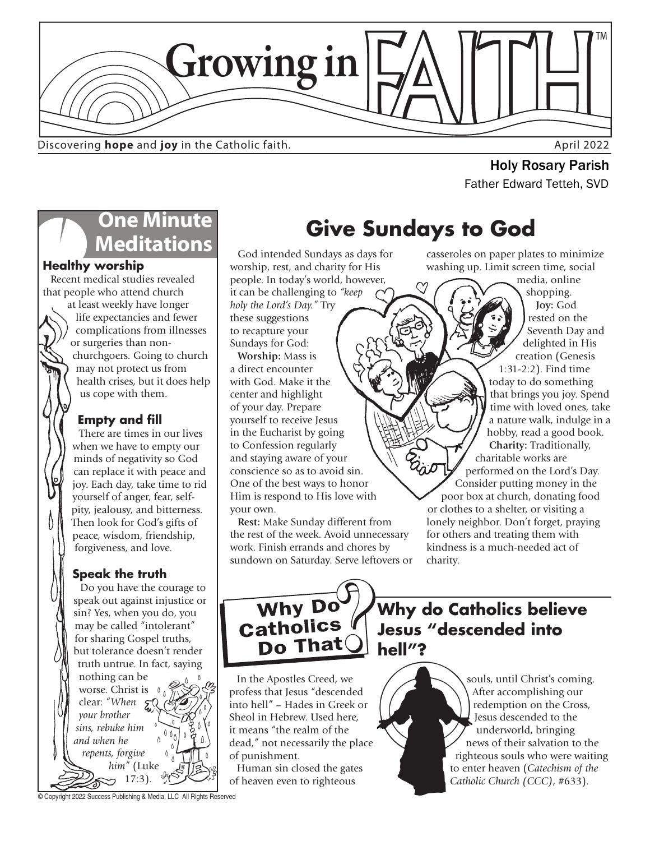

Discovering **hope** and joy in the Catholic faith.

**Holy Rosary Parish**<br>Father Edward Tetteh, SVD

## **One Minute Meditations**

### **Healthy worship**

Recent medical studies revealed that people who attend church

at least weekly have longer life expectancies and fewer complications from illnesses or surgeries than nonchurchgoers. Going to church may not protect us from health crises, but it does help us cope with them.

## **Empty and fill**

There are times in our lives when we have to empty our minds of negativity so God can replace it with peace and joy. Each day, take time to rid yourself of anger, fear, selfpity, jealousy, and bitterness. Then look for God's gifts of peace, wisdom, friendship, forgiveness, and love.

## **Speak the truth**

Do you have the courage to speak out against injustice or sin? Yes, when you do, you may be called "intolerant" for sharing Gospel truths, but tolerance doesn't render truth untrue. In fact, saying nothing can be worse. Christ is 0 clear: "*When your brother sins, rebuke him and when he repents, forgive him"* (Luke 17:3).

**Give Sundays to God**

God intended Sundays as days for worship, rest, and charity for His people. In today's world, however,

it can be challenging to *"keep holy the Lord's Day."* Try these suggestions to recapture your Sundays for God: **Worship:** Mass is

a direct encounter with God. Make it the center and highlight of your day. Prepare yourself to receive Jesus in the Eucharist by going to Confession regularly and staying aware of your conscience so as to avoid sin. One of the best ways to honor Him is respond to His love with your own.

**Rest:** Make Sunday different from the rest of the week. Avoid unnecessary work. Finish errands and chores by sundown on Saturday. Serve leftovers or casseroles on paper plates to minimize washing up. Limit screen time, social

media, online shopping. **Joy:** God rested on the Seventh Day and delighted in His creation (Genesis 1:31-2:2). Find time today to do something that brings you joy. Spend time with loved ones, take a nature walk, indulge in a hobby, read a good book. **Charity:** Traditionally, charitable works are performed on the Lord's Day. Consider putting money in the poor box at church, donating food or clothes to a shelter, or visiting a lonely neighbor. Don't forget, praying for others and treating them with kindness is a much-needed act of charity.



**Why do Catholics believe Jesus "descended into hell"?** 

In the Apostles Creed, we profess that Jesus "descended into hell" – Hades in Greek or Sheol in Hebrew. Used here, it means "the realm of the dead," not necessarily the place of punishment.

Human sin closed the gates of heaven even to righteous

souls, until Christ's coming. After accomplishing our redemption on the Cross, Jesus descended to the underworld, bringing news of their salvation to the righteous souls who were waiting to enter heaven (*Catechism of the Catholic Church (CCC)*, #633).

© Copyright 2022 Success Publishing & Media, LLC All Rights Reserved